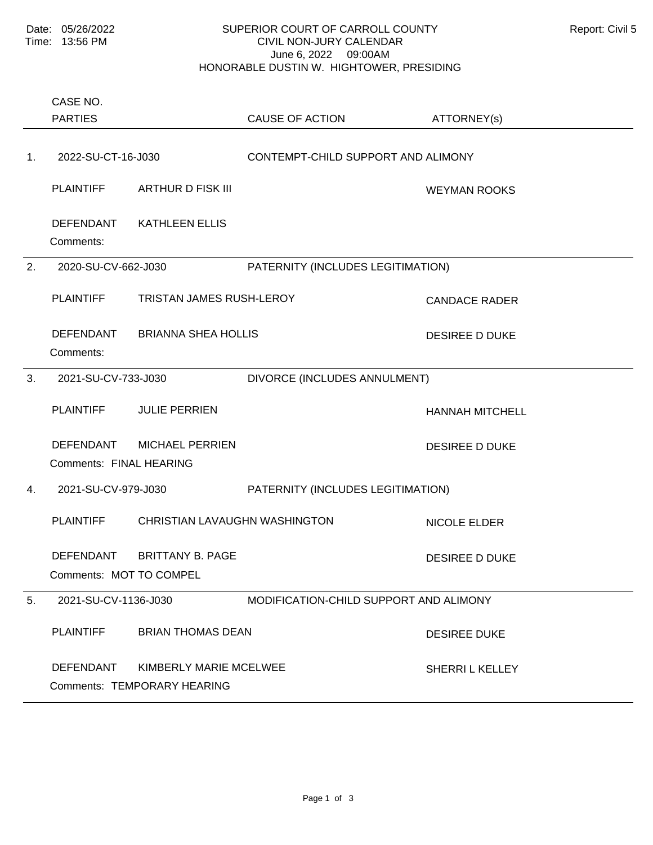## SUPERIOR COURT OF CARROLL COUNTY Report: Civil 5 CIVIL NON-JURY CALENDAR June 6, 2022 09:00AM HONORABLE DUSTIN W. HIGHTOWER, PRESIDING

Comments: PLAINTIFF ARTHUR D FISK III ARTHORIC MEYMAN ROOKS DEFENDANT KATHLEEN ELLIS 1. 2022-SU-CT-16-J030 CONTEMPT-CHILD SUPPORT AND ALIMONY Comments: PLAINTIFF TRISTAN JAMES RUSH-LEROY CANDACE RADER DEFENDANT BRIANNA SHEA HOLLIS DESIREE D DUKE 2. 2020-SU-CV-662-J030 PATERNITY (INCLUDES LEGITIMATION) Comments: FINAL HEARING PLAINTIFF JULIE PERRIEN HANNAH MITCHELL DEFENDANT MICHAEL PERRIEN DESIREE D DUKE 3. 2021-SU-CV-733-J030 DIVORCE (INCLUDES ANNULMENT) Comments: MOT TO COMPEL PLAINTIFF CHRISTIAN LAVAUGHN WASHINGTON NICOLE ELDER DEFENDANT BRITTANY B. PAGE DESIREE D DUKE 4. 2021-SU-CV-979-J030 PATERNITY (INCLUDES LEGITIMATION) Comments: TEMPORARY HEARING PLAINTIFF BRIAN THOMAS DEAN DESIREE DUKE DEFENDANT KIMBERLY MARIE MCELWEE SHERRI L KELLEY 5. 2021-SU-CV-1136-J030 MODIFICATION-CHILD SUPPORT AND ALIMONY PARTIES CASE NO. CAUSE OF ACTION ATTORNEY(s)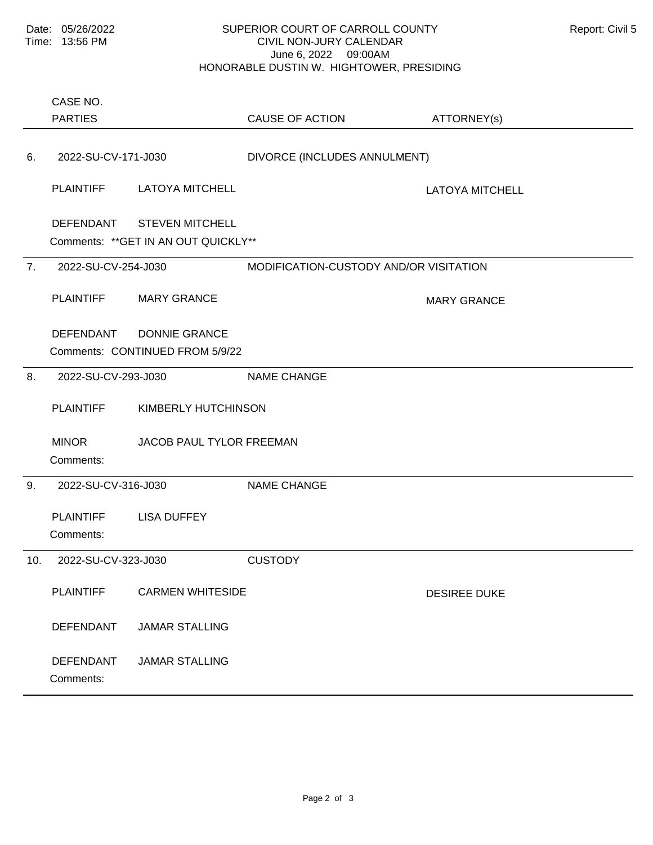## SUPERIOR COURT OF CARROLL COUNTY Report: Civil 5 CIVIL NON-JURY CALENDAR June 6, 2022 09:00AM HONORABLE DUSTIN W. HIGHTOWER, PRESIDING

Comments: \*\*GET IN AN OUT QUICKLY\*\* PLAINTIFF LATOYA MITCHELL LATOYA MITCHELL DEFENDANT STEVEN MITCHELL 6. 2022-SU-CV-171-J030 DIVORCE (INCLUDES ANNULMENT) Comments: CONTINUED FROM 5/9/22 <u>Defendant was a no-shown was a no-shown was a no-shown was a no-shown was a no-shown was a no-shown was a no-s</u> PLAINTIFF MARY GRANCE MARY GRANCE DEFENDANT DONNIE GRANCE 7. 2022-SU-CV-254-J030 MODIFICATION-CUSTODY AND/OR VISITATION Comments: PLAINTIFF KIMBERLY HUTCHINSON MINOR JACOB PAUL TYLOR FREEMAN 8. 2022-SU-CV-293-J030 NAME CHANGE Comments: PLAINTIFF LISA DUFFEY 9. 2022-SU-CV-316-J030 NAME CHANGE Comments: PLAINTIFF CARMEN WHITESIDE CARMEN WHITESIDE DEFENDANT JAMAR STALLING DEFENDANT JAMAR STALLING 10. 2022-SU-CV-323-J030 CUSTODY PARTIES CASE NO. CAUSE OF ACTION ATTORNEY(s)